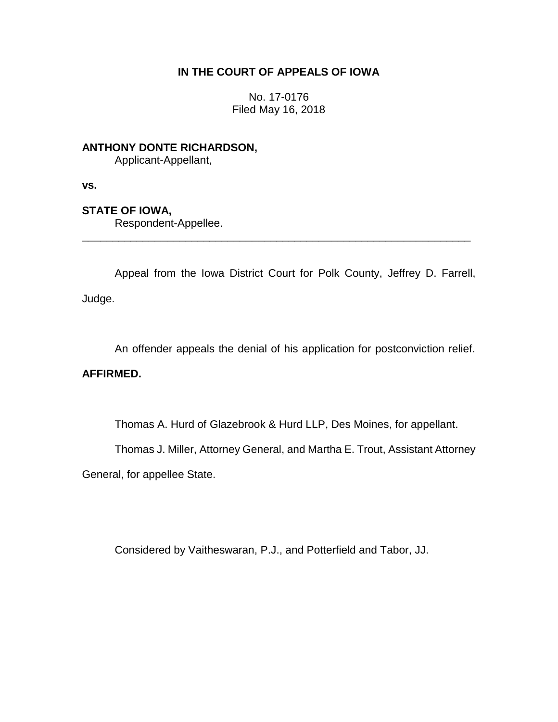# **IN THE COURT OF APPEALS OF IOWA**

No. 17-0176 Filed May 16, 2018

**ANTHONY DONTE RICHARDSON,** Applicant-Appellant,

**vs.**

# **STATE OF IOWA,**

Respondent-Appellee.

Appeal from the Iowa District Court for Polk County, Jeffrey D. Farrell, Judge.

\_\_\_\_\_\_\_\_\_\_\_\_\_\_\_\_\_\_\_\_\_\_\_\_\_\_\_\_\_\_\_\_\_\_\_\_\_\_\_\_\_\_\_\_\_\_\_\_\_\_\_\_\_\_\_\_\_\_\_\_\_\_\_\_

An offender appeals the denial of his application for postconviction relief.

# **AFFIRMED.**

Thomas A. Hurd of Glazebrook & Hurd LLP, Des Moines, for appellant.

Thomas J. Miller, Attorney General, and Martha E. Trout, Assistant Attorney

General, for appellee State.

Considered by Vaitheswaran, P.J., and Potterfield and Tabor, JJ.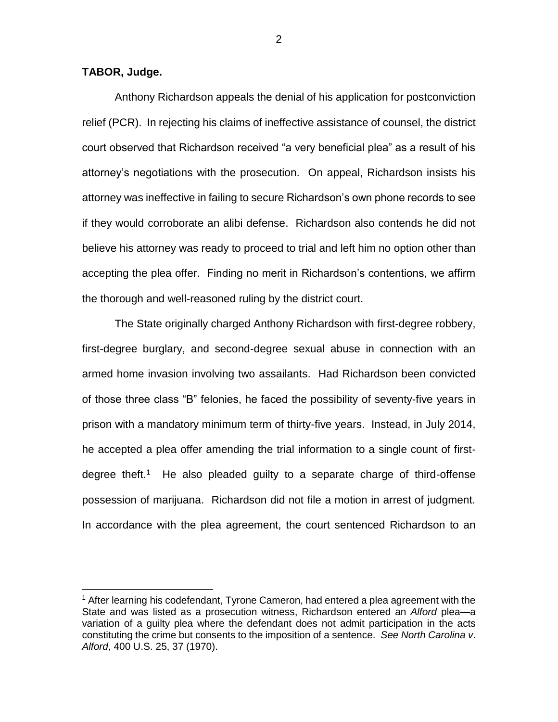### **TABOR, Judge.**

 $\overline{a}$ 

Anthony Richardson appeals the denial of his application for postconviction relief (PCR). In rejecting his claims of ineffective assistance of counsel, the district court observed that Richardson received "a very beneficial plea" as a result of his attorney's negotiations with the prosecution. On appeal, Richardson insists his attorney was ineffective in failing to secure Richardson's own phone records to see if they would corroborate an alibi defense. Richardson also contends he did not believe his attorney was ready to proceed to trial and left him no option other than accepting the plea offer. Finding no merit in Richardson's contentions, we affirm the thorough and well-reasoned ruling by the district court.

The State originally charged Anthony Richardson with first-degree robbery, first-degree burglary, and second-degree sexual abuse in connection with an armed home invasion involving two assailants. Had Richardson been convicted of those three class "B" felonies, he faced the possibility of seventy-five years in prison with a mandatory minimum term of thirty-five years. Instead, in July 2014, he accepted a plea offer amending the trial information to a single count of firstdegree theft.<sup>1</sup> He also pleaded guilty to a separate charge of third-offense possession of marijuana. Richardson did not file a motion in arrest of judgment. In accordance with the plea agreement, the court sentenced Richardson to an

<sup>1</sup> After learning his codefendant, Tyrone Cameron, had entered a plea agreement with the State and was listed as a prosecution witness, Richardson entered an *Alford* plea—a variation of a guilty plea where the defendant does not admit participation in the acts constituting the crime but consents to the imposition of a sentence. *See North Carolina v*. *Alford*, 400 U.S. 25, 37 (1970).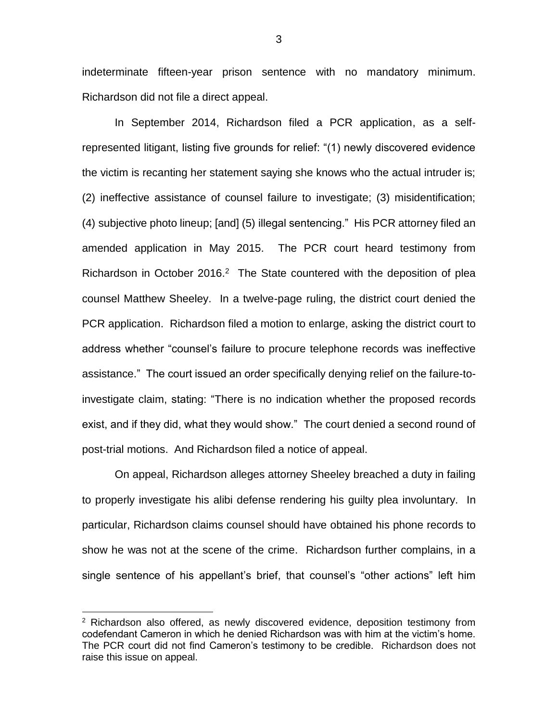indeterminate fifteen-year prison sentence with no mandatory minimum. Richardson did not file a direct appeal.

In September 2014, Richardson filed a PCR application, as a selfrepresented litigant, listing five grounds for relief: "(1) newly discovered evidence the victim is recanting her statement saying she knows who the actual intruder is; (2) ineffective assistance of counsel failure to investigate; (3) misidentification; (4) subjective photo lineup; [and] (5) illegal sentencing." His PCR attorney filed an amended application in May 2015. The PCR court heard testimony from Richardson in October 2016. $2$  The State countered with the deposition of plea counsel Matthew Sheeley. In a twelve-page ruling, the district court denied the PCR application. Richardson filed a motion to enlarge, asking the district court to address whether "counsel's failure to procure telephone records was ineffective assistance." The court issued an order specifically denying relief on the failure-toinvestigate claim, stating: "There is no indication whether the proposed records exist, and if they did, what they would show." The court denied a second round of post-trial motions. And Richardson filed a notice of appeal.

On appeal, Richardson alleges attorney Sheeley breached a duty in failing to properly investigate his alibi defense rendering his guilty plea involuntary. In particular, Richardson claims counsel should have obtained his phone records to show he was not at the scene of the crime. Richardson further complains, in a single sentence of his appellant's brief, that counsel's "other actions" left him

 $\overline{a}$ 

 $2$  Richardson also offered, as newly discovered evidence, deposition testimony from codefendant Cameron in which he denied Richardson was with him at the victim's home. The PCR court did not find Cameron's testimony to be credible. Richardson does not raise this issue on appeal.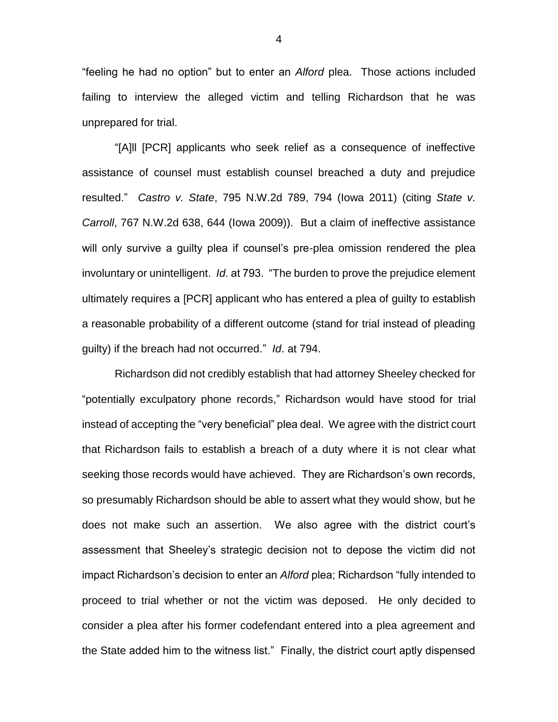"feeling he had no option" but to enter an *Alford* plea. Those actions included failing to interview the alleged victim and telling Richardson that he was unprepared for trial.

"[A]ll [PCR] applicants who seek relief as a consequence of ineffective assistance of counsel must establish counsel breached a duty and prejudice resulted." *Castro v. State*, 795 N.W.2d 789, 794 (Iowa 2011) (citing *State v. Carroll*, 767 N.W.2d 638, 644 (Iowa 2009)). But a claim of ineffective assistance will only survive a guilty plea if counsel's pre-plea omission rendered the plea involuntary or unintelligent. *Id*. at 793. "The burden to prove the prejudice element ultimately requires a [PCR] applicant who has entered a plea of guilty to establish a reasonable probability of a different outcome (stand for trial instead of pleading guilty) if the breach had not occurred." *Id*. at 794.

Richardson did not credibly establish that had attorney Sheeley checked for "potentially exculpatory phone records," Richardson would have stood for trial instead of accepting the "very beneficial" plea deal. We agree with the district court that Richardson fails to establish a breach of a duty where it is not clear what seeking those records would have achieved. They are Richardson's own records, so presumably Richardson should be able to assert what they would show, but he does not make such an assertion. We also agree with the district court's assessment that Sheeley's strategic decision not to depose the victim did not impact Richardson's decision to enter an *Alford* plea; Richardson "fully intended to proceed to trial whether or not the victim was deposed. He only decided to consider a plea after his former codefendant entered into a plea agreement and the State added him to the witness list." Finally, the district court aptly dispensed

4